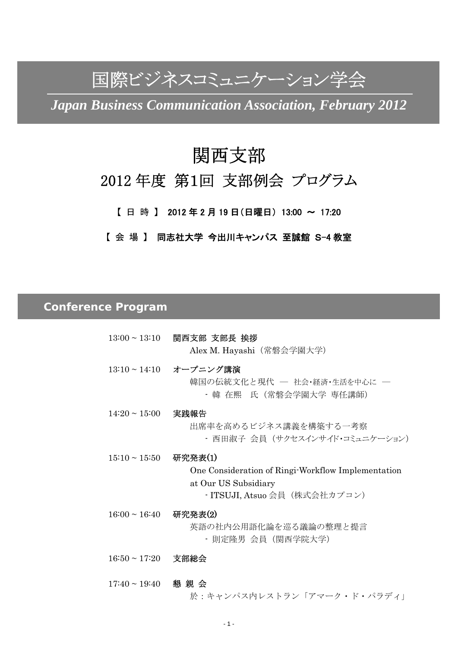# 国際ビジネスコミュニケーション学会

*Japan Business Communication Association, February 2012* 

## 関西支部

## 2012 年度 第1回 支部例会 プログラム

【 日 時 】 2012 年 2 月 19 日(日曜日) 13:00 ~ 17:20

【 会 場 】 同志社大学 今出川キャンパス 至誠館 S-4 教室

## *Conference Program*

- 13:00 ~ 13:10 関西支部 支部長 挨拶 Alex M. Hayashi(常磐会学園大学)
- 13:10 ~ 14:10 オープニング講演 韓国の伝統文化と現代 - 社会·経済·生活を中心に 一 - 韓 在煕 氏(常磐会学園大学 専任講師)
- 14:20 ~ 15:00 実践報告 出席率を高めるビジネス講義を構築する一考察 - 西田淑子 会員(サクセスインサイド・コミュニケーション)
- 15:10 ~ 15:50 研究発表(1) One Consideration of Ringi-Workflow Implementation at Our US Subsidiary - ITSUJI, Atsuo 会員 (株式会社カプコン)
- 16:00 ~ 16:40 研究発表(2) 英語の社内公用語化論を巡る議論の整理と提言 - 則定隆男 会員(関西学院大学)
- 16:50 ~ 17:20 支部総会

 17:40 ~ 19:40 懇 親 会 於:キャンパス内レストラン「アマーク・ド・パラディ」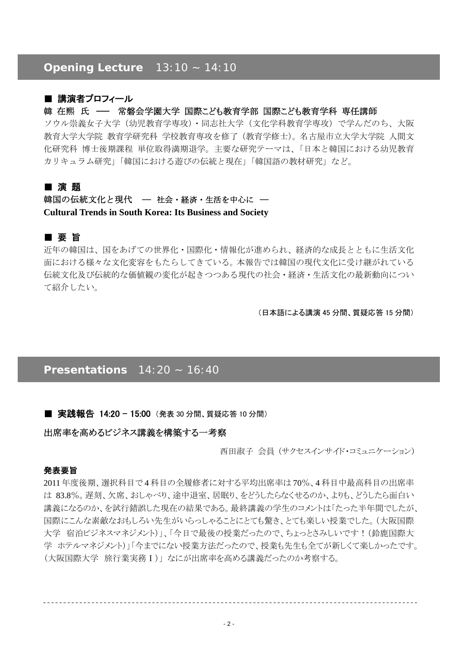## *Opening Lecture 13:10 ~ 14:10*

## ■ 講演者プロフィール

## 韓 在熙 氏 ─ 常磐会学園大学 国際こども教育学部 国際こども教育学科 専任講師

ソウル崇義女子大学(幼児教育学専攻)・同志社大学(文化学科教育学専攻)で学んだのち、大阪 教育大学大学院 教育学研究科 学校教育専攻を修了(教育学修士)。名古屋市立大学大学院 人間文 化研究科 博士後期課程 単位取得満期退学。主要な研究テーマは、「日本と韓国における幼児教育 カリキュラム研究」「韓国における遊びの伝統と現在」「韓国語の教材研究」など。

## ■ 演 題

## 韓国の伝統文化と現代 – 社会・経済・生活を中心に – **Cultural Trends in South Korea: Its Business and Society**

## ■ 要 旨

近年の韓国は、国をあげての世界化・国際化・情報化が進められ、経済的な成長とともに生活文化 面における様々な文化変容をもたらしてきている。本報告では韓国の現代文化に受け継がれている 伝統文化及び伝統的な価値観の変化が起きつつある現代の社会・経済・生活文化の最新動向につい て紹介したい。

(日本語による講演 45 分間、質疑応答 15 分間)

## *Presentations 14:20 ~ 16:40*

#### ■ 実践報告 14:20 - 15:00 (発表 30 分間、質疑応答 10 分間)

## 出席率を高めるビジネス講義を構築する一考察

西田淑子 会員 (サクセスインサイド・コミュニケーション)

#### 発表要旨

2011 年度後期、選択科目で 4 科目の全履修者に対する平均出席率は 70%、4 科目中最高科目の出席率 は 83.8%。遅刻、欠席、おしゃべり、途中退室、居眠り、をどうしたらなくせるのか、よりも、どうしたら面白い 講義になるのか、を試行錯誤した現在の結果である。最終講義の学生のコメントは「たった半年間でしたが、 国際にこんな素敵なおもしろい先生がいらっしゃることにとても驚き、とても楽しい授業でした。(大阪国際 大学 宿泊ビジネスマネジメント)」、「今日で最後の授業だったので、ちょっとさみしいです!(鈴鹿国際大 学 ホテルマネジメント)」「今までにない授業方法だったので、授業も先生も全てが新しくて楽しかったです。 (大阪国際大学 旅行業実務Ⅰ)」 なにが出席率を高める講義だったのか考察する。